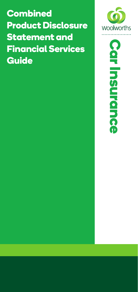**Combined Product Disclosure Statement and Financial Services Guide**



**Car InsuranceCar Insurance**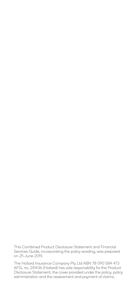This Combined Product Disclosure Statement and Financial Services Guide, incorporating the policy wording, was prepared on 25 June 2019.

The Hollard Insurance Company Pty Ltd ABN 78 090 584 473 AFSL no. 241436 (Hollard) has sole responsibility for the Product Disclosure Statement, the cover provided under the policy, policy administration and the assessment and payment of claims.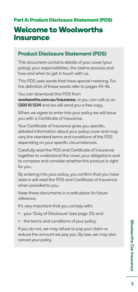## **Welcome to Woolworths Insurance**

### Product Disclosure Statement (PDS)

This document contains details of your cover (your policy), your responsibilities, the claims process and how and when to get in touch with us.

This PDS uses words that have special meaning. For the definition of these words refer to pages 44-46.

You can download this PDS from woolworths.com.au/insurance, or you can call us on 1300 10 1234 and we will send you a free copy.

When we agree to enter into your policy we will issue you with a Certificate of Insurance.

Your Certificate of Insurance gives you specific, detailed information about your policy cover and may vary the standard terms and conditions of the PDS depending on your specific circumstances.

Carefully read the PDS and Certificate of Insurance together to understand the cover, your obligations and to compare and consider whether this product is right for you.

By entering into your policy, you confirm that you have read or will read the PDS and Certificate of Insurance when provided to you.

Keep these documents in a safe place for future reference.

It's very important that you comply with:

- your 'Duty of Disclosure' (see page 21); and
- the terms and conditions of your policy.

If you do not, we may refuse to pay your claim or reduce the amount we pay you. By law, we may also cancel your policy.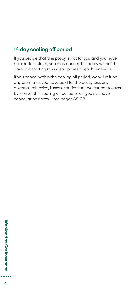### 14 day cooling off period

If you decide that this policy is not for you and you have not made a claim, you may cancel this policy within 14 days of it starting (this also applies to each renewal).

If you cancel within the cooling off period, we will refund any premiums you have paid for the policy less any government levies, taxes or duties that we cannot recover. Even after this cooling off period ends, you still have cancellation rights – see pages 38-39.

 $\overline{4}$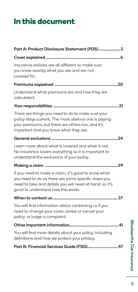# **In this document**

| Part A: Product Disclosure Statement (PDS) 3                                                                                                                                                                |
|-------------------------------------------------------------------------------------------------------------------------------------------------------------------------------------------------------------|
|                                                                                                                                                                                                             |
| Insurance policies are all different so make sure<br>you know exactly what you are and are not<br>covered for.                                                                                              |
|                                                                                                                                                                                                             |
| Understand what premiums are and how they are<br>calculated.                                                                                                                                                |
|                                                                                                                                                                                                             |
| There are things you need to do to make sure your<br>policy stays current. The most obvious one is paying<br>your premiums, but there are others too, and it's<br>important that you know what they are.    |
|                                                                                                                                                                                                             |
| Learn more about what is covered and what is not.<br>No insurance covers everything so it is important to<br>understand the exclusions of your policy.                                                      |
|                                                                                                                                                                                                             |
| If you need to make a claim, it's good to know what<br>you need to do as there are some specific steps you<br>need to take and details you will need at hand, so it's<br>good to understand how this works. |
| 37                                                                                                                                                                                                          |
| You will find information about contacting us if you<br>need to change your cover, renew or cancel your<br>policy, or lodge a complaint.                                                                    |
|                                                                                                                                                                                                             |
| You will find more details about your policy, including<br>definitions and how we protect your privacy.                                                                                                     |
| Part B: Financial Services Guide (FSG) 47                                                                                                                                                                   |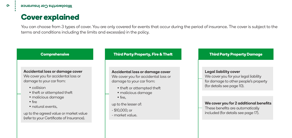## **Cover explained**

You can choose from 3 types of cover. You are only covered for events that occur during the period of insurance. The cover is subject to the terms and conditions including the limits and excess(es) in the policy.

### **Comprehensive**

#### Accidental loss or damage cover We cover you for accidental loss or damage to your car from:

- collision
- theft or attempted theft
- malicious damage
- fire
- natural events,

up to the agreed value or market value (refer to your Certificate of Insurance).

### **Third Party Property, Fire & Theft**

#### Accidental loss or damage cover We cover you for accidental loss or damage to your car from:

- theft or attempted theft
- malicious damage
- fire,
- up to the lesser of:
- \$10,000; or
- market value.

### **Third Party Property Damage**

#### Legal liability cover

We cover you for your legal liability for damage to other people's property (for details see page 10).

#### We cover you for 2 additional benefits

These benefits are automatically included (for details see page 17).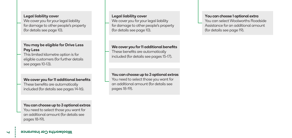#### Legal liability cover

We cover you for your legal liability for damage to other people's property (for details see page 10).

### You may be eligible for Drive Less Pay Less

This limited kilometre option is for eligible customers (for further details see pages 10-13).

#### We cover you for 11 additional benefits

These benefits are automatically included (for details see pages 14-16).

#### You can choose up to 3 optional extras You need to select those you want for an additional amount (for details see pages 18-19).

#### Legal liability cover

We cover you for your legal liability for damage to other people's property (for details see page 10).

#### We cover you for 11 additional benefits

These benefits are automatically included (for details see pages 15-17).

You can choose up to 3 optional extras You need to select those you want for an additional amount (for details see pages 18-19).

#### You can choose 1 optional extra

You can select Woolworths Roadside Assistance for an additional amount (for details see page 19).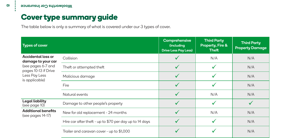## **Cover type summary guide**

The table below is only a summary of what is covered under our 3 types of cover.

| <b>Types of cover</b>                                                                                                            |                                                         | Comprehensive<br><i>(including</i><br><b>Drive Less Pay Less)</b> | <b>Third Party</b><br>Property, Fire &<br><b>Theft</b> | <b>Third Party</b><br><b>Property Damage</b> |
|----------------------------------------------------------------------------------------------------------------------------------|---------------------------------------------------------|-------------------------------------------------------------------|--------------------------------------------------------|----------------------------------------------|
| <b>Accidental loss or</b><br>damage to your car<br>(see pages 6-7 and<br>pages 10-13 if Drive<br>Less Pay Less<br>is applicable) | Collision                                               |                                                                   | N/A                                                    | N/A                                          |
|                                                                                                                                  | Theft or attempted theft                                | $\checkmark$                                                      |                                                        | N/A                                          |
|                                                                                                                                  | Malicious damage                                        |                                                                   |                                                        | N/A                                          |
|                                                                                                                                  | Fire                                                    |                                                                   |                                                        | N/A                                          |
|                                                                                                                                  | Natural events                                          |                                                                   | N/A                                                    | N/A                                          |
| Legal liability<br>(see page 10)                                                                                                 | Damage to other people's property                       |                                                                   |                                                        |                                              |
| <b>Additional benefits</b><br>(see pages 14-17)                                                                                  | New for old replacement - 24 months                     |                                                                   | N/A                                                    | N/A                                          |
|                                                                                                                                  | Hire car after theft - up to \$70 per day up to 14 days |                                                                   |                                                        | N/A                                          |
|                                                                                                                                  | Trailer and caravan cover - up to \$1,000               |                                                                   |                                                        | N/A                                          |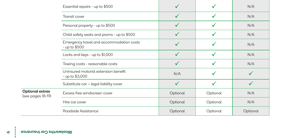| Essential repairs - up to \$500                           |          |          | N/A      |
|-----------------------------------------------------------|----------|----------|----------|
| Transit cover                                             |          |          | N/A      |
| Personal property - up to \$500                           |          |          | N/A      |
| Child safety seats and prams - up to \$500                |          |          | N/A      |
| Emergency travel and accommodation costs<br>- up to \$500 |          |          | N/A      |
| Locks and keys - up to \$1,000                            |          |          | N/A      |
| Towing costs - reasonable costs                           |          |          | N/A      |
| Uninsured motorist extension benefit<br>- up to \$3,000   | N/A      |          |          |
| Substitute car - legal liability cover                    |          |          |          |
| Excess free windscreen cover                              | Optional | Optional | N/A      |
| Hire car cover                                            | Optional | Optional | N/A      |
| Roadside Assistance                                       | Optional | Optional | Optional |

Optional extras (see pages 18-19)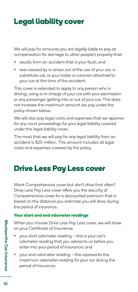## **Legal liability cover**

We will pay for amounts you are legally liable to pay as compensation for damage to other people's property that:

- results from an accident that is your fault; and
- was caused by or arises out of the use of your car, a substitute car, or your trailer or caravan attached to your car at the time of the accident.

This cover is extended to apply to any person who is driving, using or in charge of your car with your permission or any passenger getting into or out of your car. This does not increase the maximum amount we pay under the policy shown below.

We will also pay legal costs and expenses that we approve for any court proceedings for your legal liability covered under this legal liability cover.

The most that we will pay for any legal liability from an accident is \$20 million. This amount includes all legal costs and expenses covered by the policy.

## **Drive Less Pay Less cover**

Want Comprehensive cover but don't drive that often? Drive Less Pay Less cover offers you the security of Comprehensive cover for a discounted premium that is based on the distance you estimate you will drive during the period of insurance.

### **Your start and end odometer readings**

When you choose Drive Less Pay Less cover, we will show on your Certificate of Insurance:

- your start odometer reading this is your car's odometer reading that you advise to us before you enter into your period of insurance; and
- your end odometer reading this represents the maximum odometer reading for your car during the period of insurance.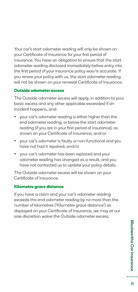Your car's start odometer reading will only be shown on your Certificate of Insurance for your first period of insurance. You have an obligation to ensure that the start odometer reading disclosed immediately before entry into the first period of your insurance policy was/is accurate. If you renew your policy with us, the start odometer reading will not be shown on your renewal Certificate of Insurance.

### **Outside odometer excess**

The Outside odometer excess will apply, in addition to your basic excess and any other applicable excess(es) if an incident happens, and:

- your car's odometer reading is either higher than the end odometer reading, or below the start odometer reading (if you are in your first period of insurance), as shown on your Certificate of Insurance; and/or
- your car's odometer is faulty or non-functional and you have not had it repaired; and/or
- your car's odometer has been replaced and your odometer reading has changed as a result, and you have not contacted us to update your policy details.

The Outside odometer excess will be shown on your Certificate of Insurance.

### **Kilometre grace distance**

If you have a claim and your car's odometer reading exceeds the end odometer reading by no more than the number of kilometres ('Kilometre grace distance') as displayed on your Certificate of Insurance, we may at our sole discretion waive the Outside odometer excess.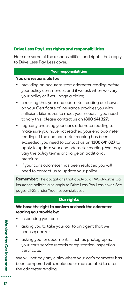### **Drive Less Pay Less rights and responsibilities**

Here are some of the responsibilities and rights that apply to Drive Less Pay Less cover.

### **Your responsibilities**

### You are responsible for:

- providing an accurate start odometer reading before your policy commences and if we ask when we vary your policy or if you lodge a claim;
- checking that your end odometer reading as shown on your Certificate of Insurance provides you with sufficient kilometres to meet your needs. If you need to vary this, please contact us on 1300 641 327;
- regularly checking your car's odometer reading to make sure you have not reached your end odometer reading. If the end odometer reading has been exceeded, you need to contact us on 1300 641 327 to apply to update your end odometer reading. We may vary the policy terms or charge an additional premium;
- If your car's odometer has been replaced you will need to contact us to update your policy.

Remember: The obligations that apply to all Woolworths Car Insurance policies also apply to Drive Less Pay Less cover. See pages 21-23 under 'Your responsibilities'.

### **Our rights**

We have the right to confirm or check the odometer reading you provide by:

- inspecting your car;
- asking you to take your car to an agent that we choose; and/or
- asking you for documents, such as photographs, your car's service records or registration inspection certificate.

We will not pay any claim where your car's odometer has been tampered with, replaced or manipulated to alter the odometer reading.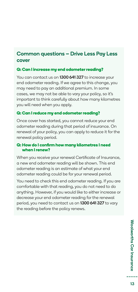### Common questions – Drive Less Pay Less cover

### **Q: Can I increase my end odometer reading?**

You can contact us on 1300 641 327 to increase your end odometer reading. If we agree to this change, you may need to pay an additional premium. In some cases, we may not be able to vary your policy, so it's important to think carefully about how many kilometres you will need when you apply.

### **Q: Can I reduce my end odometer reading?**

Once cover has started, you cannot reduce your end odometer reading during that period of insurance. On renewal of your policy, you can apply to reduce it for the renewal policy period.

### **Q: How do I confirm how many kilometres I need when I renew?**

When you receive your renewal Certificate of Insurance, a new end odometer reading will be shown. This end odometer reading is an estimate of what your end odometer reading could be for your renewal period.

You need to check this end odometer reading. If you are comfortable with that reading, you do not need to do anything. However, if you would like to either increase or decrease your end odometer reading for the renewal period, you need to contact us on 1300 641 327 to vary the reading before the policy renews.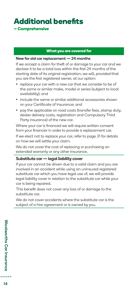### **Additional benefits – Comprehensive**

#### **What you are covered for**

#### New for old car replacement — 24 months

If we accept a claim for theft of or damage to your car and we declare it to be a total loss within the first 24 months of the starting date of its original registration, we will, provided that you are the first registered owner, at our option:

- replace your car with a new car that we consider to be of the same or similar make, model or series (subject to local availability); and
- include the same or similar additional accessories shown on your Certificate of Insurance; and
- pay the applicable on road costs (transfer fees, stamp duty, dealer delivery costs, registration and Compulsory Third Party insurance) of the new car.

Where your car is financed we will require written consent from your financier in order to provide a replacement car.

If we elect not to replace your car, refer to page 31 for details on how we will settle your claim.

We do not cover the cost of replacing or purchasing an extended warranty or any other insurance.

#### Substitute car - legal liability cover

If your car cannot be driven due to a valid claim and you are involved in an accident while using an uninsured registered substitute car which you have legal use of, we will provide legal liability cover in relation to the substitute car while your car is being repaired.

This benefit does not cover any loss of or damage to the substitute car.

We do not cover accidents where the substitute car is the subject of a hire agreement or is owned by you.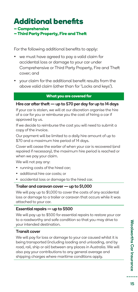# **Additional benefits**

**– Comprehensive**

**– Third Party Property, Fire and Theft**

For the following additional benefits to apply:

- we must have agreed to pay a valid claim for accidental loss or damage to your car under Comprehensive or Third Party Property, Fire and Theft cover; and
- your claim for the additional benefit results from the above valid claim (other than for 'Locks and keys').

#### **What you are covered for**

### Hire car after theft — up to \$70 per day for up to 14 days

If your car is stolen, we will at our discretion organise the hire of a car for you or reimburse you the cost of hiring a car if approved by us.

If we decide to reimburse the cost you will need to submit a copy of the invoice.

Our payment will be limited to a daily hire amount of up to \$70 and a maximum hire period of 14 days.

Cover will cease the earlier of when your car is recovered (and repaired if necessary), the maximum hire period is reached or when we pay your claim.

We will not pay any:

- running costs of the hired car;
- additional hire car costs; or
- accidental loss or damage to the hired car.

### Trailer and caravan cover — up to \$1,000

We will pay up to \$1,000 to cover the costs of any accidental loss or damage to a trailer or caravan that occurs while it was attached to your car.

### Essential repairs — up to \$500

We will pay up to \$500 for essential repairs to restore your car to a roadworthy and safe condition so that you may drive to your intended destination.

### Transit cover

We will pay for loss or damage to your car caused whilst it is being transported (including loading and unloading, and by road, rail, ship or air) between any places in Australia. We will also pay your contributions to any general average and shipping charges where maritime conditions apply.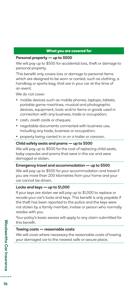#### **What you are covered for**

#### Personal property — up to \$500

We will pay up to \$500 for accidental loss, theft or damage to personal property.

This benefit only covers loss or damage to personal items which are designed to be worn or carried, such as clothing, a handbag or sports-bag, that are in your car at the time of an event.

We do not cover:

- mobile devices such as mobile phones, laptops, tablets, portable game machines, musical and photographic devices, equipment, tools and/or items or goods used in connection with any business, trade or occupation;
- cash, credit cards or cheques;
- negotiable documents connected with business use, including any trade, business or occupation;
- property being carried in or on a trailer or caravan.

#### Child safety seats and prams — up to \$500

We will pay up to \$500 for the cost of replacing child seats. baby capsules and prams that were in the car and were damaged or stolen.

#### Emergency travel and accommodation — up to \$500

We will pay up to \$500 for your accommodation and travel if you are more than 200 kilometres from your home and your car cannot be driven.

#### Locks and keys — up to \$1,000

If your keys are stolen we will pay up to \$1,000 to replace or recode your car's locks and keys. This benefit is only payable if the theft has been reported to the police and the keys were not stolen by a family member, invitee or person who normally resides with you.

Your policy's basic excess will apply to any claim submitted for this benefit.

#### Towing costs — reasonable costs

We will cover where necessary the reasonable costs of towing your damaged car to the nearest safe or secure place.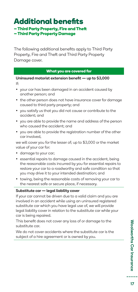### **Additional benefits – Third Party Property, Fire and Theft – Third Party Property Damage**

The following additional benefits apply to Third Party Property, Fire and Theft and Third Party Property Damage cover.

#### **What you are covered for**

Uninsured motorist extension benefit — up to \$3,000 If:

- your car has been damaged in an accident caused by another person; and
- the other person does not have insurance cover for damage caused to third party property; and
- you satisfy us that you did not cause or contribute to the accident; and
- you are able to provide the name and address of the person who caused the accident; and
- you are able to provide the registration number of the other car involved,

we will cover you for the lesser of; up to \$3,000 or the market value of your car for:

- damage to your car;
- essential repairs to damage caused in the accident, being the reasonable costs incurred by you for essential repairs to restore your car to a roadworthy and safe condition so that you may drive it to your intended destination; and
- towing, being the reasonable costs of removing your car to the nearest safe or secure place, if necessary.

#### Substitute car — legal liability cover

If your car cannot be driven due to a valid claim and you are involved in an accident while using an uninsured registered substitute car which you have legal use of, we will provide legal liability cover in relation to the substitute car while your car is being repaired.

This benefit does not cover any loss of or damage to the substitute car.

We do not cover accidents where the substitute car is the subject of a hire agreement or is owned by you.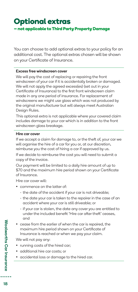## **Optional extras – not applicable to Third Party Property Damage**

You can choose to add optional extras to your policy for an additional cost. The optional extras chosen will be shown on your Certificate of Insurance.

#### Excess free windscreen cover

We will pay the cost of replacing or repairing the front windscreen of your car if it is accidentally broken or damaged. We will not apply the agreed excess(es) (set out in your Certificate of Insurance) to the first front windscreen claim made in any one period of insurance. For replacement of windscreens we might use glass which was not produced by the original manufacturer but will always meet Australian Design Rules.

This optional extra is not applicable where your covered claim includes damage to your car which is in addition to the front windscreen glass breakage.

#### Hire car cover

If we accept a claim for damage to, or the theft of, your car we will organise the hire of a car for you or, at our discretion, reimburse you the cost of hiring a car if approved by us.

If we decide to reimburse the cost you will need to submit a copy of the invoice.

Our payment will be limited to a daily hire amount of up to \$70 and the maximum hire period shown on your Certificate of Insurance.

Hire car cover will:

- commence on the latter of:
	- the date of the accident if your car is not driveable;
	- the date your car is taken to the repairer in the case of an accident where your car is still driveable; or
	- if your car is stolen, the date any cover you are entitled to under the included benefit 'Hire car after theft' ceases, and
- cease from the earlier of when the car is repaired, the maximum hire period shown on your Certificate of Insurance is reached or when we pay your claim.

We will not pay any:

- running costs of the hired car;
- additional hire car costs; or
- accidental loss or damage to the hired car.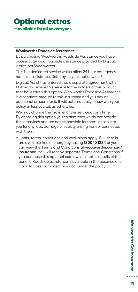### **Optional extras – available for all cover types**

#### Woolworths Roadside Assistance

By purchasing Woolworths Roadside Assistance you have access to 24-hour roadside assistance provided by Digicall Assist, not Woolworths.

This is a dedicated service which offers 24 hour emergency roadside assistance, 365 days a year, nationwide.\*

Digicall Assist has entered into a separate agreement with Hollard to provide this service to the holders of this product that have taken this option. Woolworths Roadside Assistance is a separate product to this insurance and you pay an additional amount for it. It will automatically renew with your policy unless you tell us otherwise.

We may change the provider of this service at any time. By choosing this option you confirm that we do not provide these services and are not responsible for them, or liable to you for any loss, damage or liability arising from or connected with them.

\* Limits, terms, conditions and exclusions apply. Full details are available free of charge by calling 1300 10 1234 or you can view the Terms and Conditions at woolworths.com.au/ insurance. You will receive separate Terms and Conditions if you purchase this optional extra, which states details of the benefit. Roadside assistance is available in the absence of a claim for loss/damage to your car under the policy.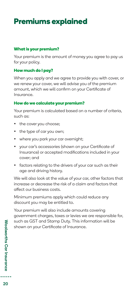## **Premiums explained**

### **What is your premium?**

Your premium is the amount of money you agree to pay us for your policy.

### **How much do I pay?**

When you apply and we agree to provide you with cover, or we renew your cover, we will advise you of the premium amount, which we will confirm on your Certificate of Insurance.

### **How do we calculate your premium?**

Your premium is calculated based on a number of criteria, such as:

- the cover you choose;
- the type of car you own;
- where you park your car overnight;
- your car's accessories (shown on your Certificate of Insurance) or accepted modifications included in your cover; and
- factors relating to the drivers of your car such as their age and driving history.

We will also look at the value of your car, other factors that increase or decrease the risk of a claim and factors that affect our business costs.

Minimum premiums apply which could reduce any discount you may be entitled to.

Your premium will also include amounts covering government charges, taxes or levies we are responsible for, such as GST and Stamp Duty. This information will be shown on your Certificate of Insurance.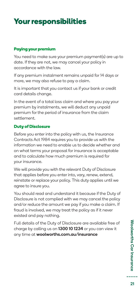## **Your responsibilities**

### **Paying your premium**

You need to make sure your premium payment(s) are up to date. If they are not, we may cancel your policy in accordance with the law.

If any premium instalment remains unpaid for 14 days or more, we may also refuse to pay a claim.

It is important that you contact us if your bank or credit card details change.

In the event of a total loss claim and where you pay your premium by instalments, we will deduct any unpaid premium for the period of insurance from the claim settlement.

### **Duty of Disclosure**

Before you enter into the policy with us, the Insurance Contracts Act 1984 requires you to provide us with the information we need to enable us to decide whether and on what terms your proposal for insurance is acceptable and to calculate how much premium is required for your insurance.

We will provide you with the relevant Duty of Disclosure that applies before you enter into, vary, renew, extend, reinstate or replace your policy. This duty applies until we agree to insure you.

You should read and understand it because if the Duty of Disclosure is not complied with we may cancel the policy and/or reduce the amount we pay if you make a claim. If fraud is involved, we may treat the policy as if it never existed and pay nothing.

Full details of the Duty of Disclosure are available free of charge by calling us on 1300 10 1234 or you can view it any time at woolworths.com.au/insurance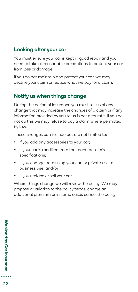### Looking after your car

You must ensure your car is kept in good repair and you need to take all reasonable precautions to protect your car from loss or damage.

If you do not maintain and protect your car, we may decline your claim or reduce what we pay for a claim.

### Notify us when things change

During the period of insurance you must tell us of any change that may increase the chances of a claim or if any information provided by you to us is not accurate. If you do not do this we may refuse to pay a claim where permitted by law.

These changes can include but are not limited to:

- if you add any accessories to your car;
- if your car is modified from the manufacturer's specifications;
- if you change from using your car for private use to business use; and/or
- if you replace or sell your car.

Where things change we will review the policy. We may propose a variation to the policy terms, charge an additional premium or in some cases cancel the policy.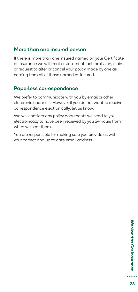### More than one insured person

If there is more than one insured named on your Certificate of Insurance we will treat a statement, act, omission, claim or request to alter or cancel your policy made by one as coming from all of those named as insured.

### Paperless correspondence

We prefer to communicate with you by email or other electronic channels. However if you do not want to receive correspondence electronically, let us know.

We will consider any policy documents we send to you electronically to have been received by you 24 hours from when we sent them.

You are responsible for making sure you provide us with your correct and up to date email address.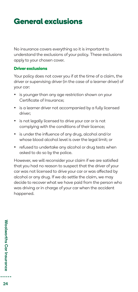## **General exclusions**

No insurance covers everything so it is important to understand the exclusions of your policy. These exclusions apply to your chosen cover.

### **Driver exclusions**

Your policy does not cover you if at the time of a claim, the driver or supervising driver (in the case of a learner driver) of your car:

- is younger than any age restriction shown on your Certificate of Insurance;
- is a learner driver not accompanied by a fully licensed driver;
- is not legally licensed to drive your car or is not complying with the conditions of their licence;
- is under the influence of any drug, alcohol and/or whose blood alcohol level is over the legal limit; or
- refused to undertake any alcohol or drug tests when asked to do so by the police.

However, we will reconsider your claim if we are satisfied that you had no reason to suspect that the driver of your car was not licensed to drive your car or was affected by alcohol or any drug. If we do settle the claim, we may decide to recover what we have paid from the person who was driving or in charge of your car when the accident happened.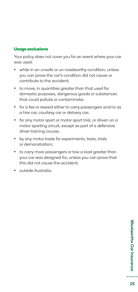### **Usage exclusions**

Your policy does not cover you for an event where your car was used:

- while in an unsafe or un-roadworthy condition, unless you can prove the car's condition did not cause or contribute to the accident;
- to move, in quantities greater than that used for domestic purposes, dangerous goods or substances that could pollute or contaminate;
- for a fee or reward either to carry passengers and/or as a hire car, courtesy car or delivery car;
- for any motor sport or motor sport trial, or driven on a motor sporting circuit, except as part of a defensive driver training course;
- by any motor trade for experiments, tests, trials or demonstration;
- to carry more passengers or tow a load greater than your car was designed for, unless you can prove that this did not cause the accident;
- outside Australia.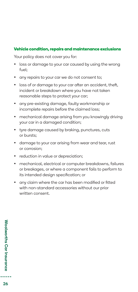### **Vehicle condition, repairs and maintenance exclusions**

Your policy does not cover you for:

- loss or damage to your car caused by using the wrong fuel;
- any repairs to your car we do not consent to;
- loss of or damage to your car after an accident, theft, incident or breakdown where you have not taken reasonable steps to protect your car;
- any pre-existing damage, faulty workmanship or incomplete repairs before the claimed loss;
- mechanical damage arising from you knowingly driving your car in a damaged condition;
- tyre damage caused by braking, punctures, cuts or bursts;
- damage to your car arising from wear and tear, rust or corrosion;
- reduction in value or depreciation;
- mechanical, electrical or computer breakdowns, failures or breakages, or where a component fails to perform to its intended design specification; or
- any claim where the car has been modified or fitted with non-standard accessories without our prior written consent.

**Woolworths Car Insurance** Woolworths Car Insurance : 3 . . . . .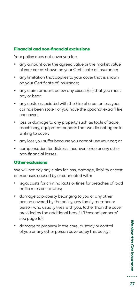### **Financial and non-financial exclusions**

Your policy does not cover you for:

- any amount over the agreed value or the market value of your car as shown on your Certificate of Insurance;
- any limitation that applies to your cover that is shown on your Certificate of Insurance;
- any claim amount below any excess(es) that you must pay or bear;
- any costs associated with the hire of a car unless your car has been stolen or you have the optional extra 'Hire car cover';
- loss or damage to any property such as tools of trade, machinery, equipment or parts that we did not agree in writing to cover;
- any loss you suffer because you cannot use your car; or
- compensation for distress, inconvenience or any other non-financial losses.

### **Other exclusions**

We will not pay any claim for loss, damage, liability or cost or expenses caused by or connected with:

- legal costs for criminal acts or fines for breaches of road traffic rules or statutes;
- damage to property belonging to you or any other person covered by the policy, any family member or person who usually lives with you, (other than the cover provided by the additional benefit 'Personal property' see page 16);
- damage to property in the care, custody or control of you or any other person covered by this policy;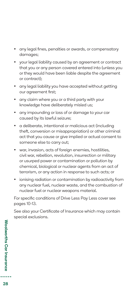- any legal fines, penalties or awards, or compensatory damages;
- your legal liability caused by an agreement or contract that you or any person covered entered into (unless you or they would have been liable despite the agreement or contract);
- any legal liability you have accepted without getting our agreement first;
- any claim where you or a third party with your knowledge have deliberately misled us;
- any impounding or loss of or damage to your car caused by its lawful seizure;
- a deliberate, intentional or malicious act (including theft, conversion or misappropriation) or other criminal act that you cause or give implied or actual consent to someone else to carry out;
- war, invasion, acts of foreign enemies, hostilities, civil war, rebellion, revolution, insurrection or military or usurped power or contamination or pollution by chemical, biological or nuclear agents from an act of terrorism, or any action in response to such acts; or
- ionising radiation or contamination by radioactivity from any nuclear fuel, nuclear waste, and the combustion of nuclear fuel or nuclear weapons material.

For specific conditions of Drive Less Pay Less cover see pages 10-13.

See also your Certificate of Insurance which may contain special exclusions.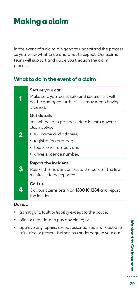## **Making a claim**

In the event of a claim it is good to understand the process so you know what to do and what to expect. Our claims team will support and guide you through the claim process.

### What to do in the event of a claim

|    | Secure your car<br>Make sure your car is safe and secure so it will<br>not be damaged further. This may mean having<br>hawnt ti                                                                               |
|----|---------------------------------------------------------------------------------------------------------------------------------------------------------------------------------------------------------------|
| 2  | <b>Get details</b><br>You will need to get these details from anyone<br>else involved:<br>$\bullet$ full name and address:<br>• registration number;<br>• telephone number; and<br>• driver's licence number. |
| 3  | <b>Report the incident</b><br>Report the incident or loss to the police if the law<br>requires it to be reported.                                                                                             |
| 4) | Call us<br>Call our claims team on <b>1300 10 1234</b> and report<br>the incident.                                                                                                                            |

### Do not:

- admit guilt, fault or liability except to the police;
- offer or negotiate to pay any claim; or
- approve any repairs, except essential repairs needed to minimise or prevent further loss or damage to your car.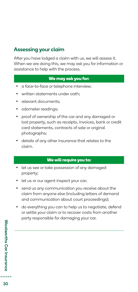### Assessing your claim

After you have lodged a claim with us, we will assess it. When we are doing this, we may ask you for information or assistance to help with the process.

### **We may ask you for:**

- a face-to-face or telephone interview;
- written statements under oath;
- relevant documents;
- odometer readings;
- proof of ownership of the car and any damaged or lost property, such as receipts, invoices, bank or credit card statements, contracts of sale or original photographs;
- details of any other insurance that relates to the claim.

### **We will require you to:**

- let us see or take possession of any damaged property;
- let us or our agent inspect your car;
- send us any communication you receive about the claim from anyone else (including letters of demand and communication about court proceedings);
- do everything you can to help us to negotiate, defend or settle your claim or to recover costs from another party responsible for damaging your car.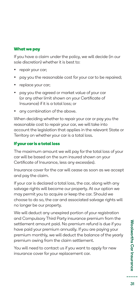### **What we pay**

If you have a claim under the policy, we will decide (in our sole discretion) whether it is best to:

- repair your car;
- pay you the reasonable cost for your car to be repaired;
- replace your car;
- pay you the agreed or market value of your car (or any other limit shown on your Certificate of Insurance) if it is a total loss; or
- any combination of the above.

When deciding whether to repair your car or pay you the reasonable cost to repair your car, we will take into account the legislation that applies in the relevant State or Territory on whether your car is a total loss.

### **If your car is a total loss**

The maximum amount we will pay for the total loss of your car will be based on the sum insured shown on your Certificate of Insurance, less any excess(es).

Insurance cover for the car will cease as soon as we accept and pay the claim.

If your car is declared a total loss, the car, along with any salvage rights will become our property. At our option we may permit you to acquire or keep the car. Should we choose to do so, the car and associated salvage rights will no longer be our property.

We will deduct any unexpired portion of your registration and Compulsory Third Party insurance premium from the settlement amount paid. No premium refund is due if you have paid your premium annually. If you are paying your premium monthly, we will deduct the balance of the yearly premium owing from the claim settlement.

You will need to contact us if you want to apply for new insurance cover for your replacement car.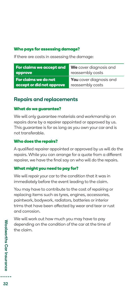### **Who pays for assessing damage?**

If there are costs in assessing the damage:

| For claims we accept and  | We cover diagnosis and         |
|---------------------------|--------------------------------|
| approve                   | reassembly costs               |
| For claims we do not      | <b>You</b> cover diagnosis and |
| accept or did not approve | reassembly costs               |

### Repairs and replacements

### **What do we guarantee?**

We will only guarantee materials and workmanship on repairs done by a repairer appointed or approved by us. This guarantee is for as long as you own your car and is not transferable.

### **Who does the repairs?**

A qualified repairer appointed or approved by us will do the repairs. While you can arrange for a quote from a different repairer, we have the final say on who will do the repairs.

### **What might you need to pay for?**

We will repair your car to the condition that it was in immediately before the event leading to the claim.

You may have to contribute to the cost of repairing or replacing items such as tyres, engines, accessories, paintwork, bodywork, radiators, batteries or interior trims that have been affected by wear and tear or rust and corrosion.

We will work out how much you may have to pay depending on the condition of the car at the time of the claim.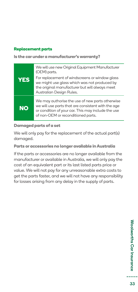### **Replacement parts**

**Is the car under a manufacturer's warranty?**

| <b>YES</b> | We will use new Original Equipment Manufacturer<br>(OEM) parts.<br>For replacement of windscreens or window glass<br>we might use glass which was not produced by<br>the original manufacturer but will always meet<br>Australian Design Rules. |
|------------|-------------------------------------------------------------------------------------------------------------------------------------------------------------------------------------------------------------------------------------------------|
| <b>NO</b>  | We may authorise the use of new parts otherwise<br>we will use parts that are consistent with the age<br>or condition of your car. This may include the use<br>of non-OEM or reconditioned parts.                                               |

### **Damaged parts of a set**

We will only pay for the replacement of the actual part(s) damaged.

**Parts or accessories no longer available in Australia**

If the parts or accessories are no longer available from the manufacturer or available in Australia, we will only pay the cost of an equivalent part or its last listed parts price or value. We will not pay for any unreasonable extra costs to get the parts faster, and we will not have any responsibility for losses arising from any delay in the supply of parts.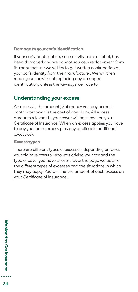### **Damage to your car's identification**

If your car's identification, such as VIN plate or label, has been damaged and we cannot source a replacement from its manufacturer we will try to get written confirmation of your car's identity from the manufacturer. We will then repair your car without replacing any damaged identification, unless the law says we have to.

### Understanding your excess

An excess is the amount(s) of money you pay or must contribute towards the cost of any claim. All excess amounts relevant to your cover will be shown on your Certificate of Insurance. When an excess applies you have to pay your basic excess plus any applicable additional excess(es).

### **Excess types**

There are different types of excesses, depending on what your claim relates to, who was driving your car and the type of cover you have chosen. Over the page we outline the different types of excesses and the situations in which they may apply. You will find the amount of each excess on your Certificate of Insurance.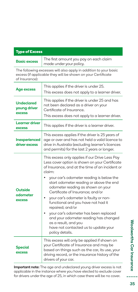| <b>Type of Excess</b>                                                                                                                              |                                                                                                                                                                                                                                                                                                                                                                                                                                                                                                                    |  |  |
|----------------------------------------------------------------------------------------------------------------------------------------------------|--------------------------------------------------------------------------------------------------------------------------------------------------------------------------------------------------------------------------------------------------------------------------------------------------------------------------------------------------------------------------------------------------------------------------------------------------------------------------------------------------------------------|--|--|
| <b>Basic excess</b>                                                                                                                                | The first amount you pay on each claim<br>made under your policy.                                                                                                                                                                                                                                                                                                                                                                                                                                                  |  |  |
| The following excesses will also apply in addition to your basic<br>excess (if applicable they will be shown on your Certificate<br>of Insurance): |                                                                                                                                                                                                                                                                                                                                                                                                                                                                                                                    |  |  |
| Age excess                                                                                                                                         | This applies if the driver is under 25.<br>This excess does not apply to a learner driver.                                                                                                                                                                                                                                                                                                                                                                                                                         |  |  |
| <b>Undeclared</b><br>voung driver<br>excess                                                                                                        | This applies if the driver is under 25 and has<br>not been declared as a driver on your<br>Certificate of Insurance.<br>This excess does not apply to a learner driver.                                                                                                                                                                                                                                                                                                                                            |  |  |
| Learner driver<br>excess                                                                                                                           | This applies if the driver is a learner driver.                                                                                                                                                                                                                                                                                                                                                                                                                                                                    |  |  |
| Inexperienced<br>driver excess                                                                                                                     | This excess applies if the driver is 25 years of<br>age or over and has not held a valid licence to<br>drive in Australia (excluding learner's licences<br>and permits) for the last 2 years or longer.                                                                                                                                                                                                                                                                                                            |  |  |
| Outside<br>odometer<br><b>excess</b>                                                                                                               | This excess only applies if our Drive Less Pay<br>Less cover option is shown on your Certificate<br>of Insurance, and at the time of an incident or<br>claim:<br>your car's odometer reading is below the<br>start odometer reading or above the end<br>odometer reading as shown on your<br>Certificate of Insurance; and/or<br>your car's odometer is faulty or non-<br>functional and you have not had it<br>repaired; and/or<br>your car's odometer has been replaced<br>and your odometer reading has changed |  |  |
|                                                                                                                                                    | as a result, and you<br>have not contacted us to update your<br>policy details.                                                                                                                                                                                                                                                                                                                                                                                                                                    |  |  |
| Special<br>excess                                                                                                                                  | This excess will only be applied if shown on<br>your Certificate of Insurance and may be<br>based on things such as the car, its use, your<br>driving record, or the insurance history of the<br>drivers of your car.                                                                                                                                                                                                                                                                                              |  |  |

Important note: The age and undeclared young driver excess is not applicable in the instance where you have elected to exclude cover for drivers under the age of 25, in which case there will be no cover.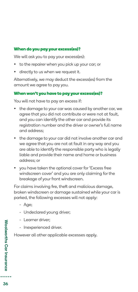### **When do you pay your excess(es)?**

We will ask you to pay your excess(es):

- to the repairer when you pick up your car; or
- directly to us when we request it.

Alternatively, we may deduct the excess(es) from the amount we agree to pay you.

### **When won't you have to pay your excess(es)?**

You will not have to pay an excess if:

- the damage to your car was caused by another car, we agree that you did not contribute or were not at fault, and you can identify the other car and provide its registration number and the driver or owner's full name and address;
- the damage to your car did not involve another car and we agree that you are not at fault in any way and you are able to identify the responsible party who is legally liable and provide their name and home or business address; or
- you have taken the optional cover for 'Excess free windscreen cover' and you are only claiming for the breakage of your front windscreen.

For claims involving fire, theft and malicious damage, broken windscreen or damage sustained while your car is parked, the following excesses will not apply:

- Age;
- Undeclared young driver;
- Learner driver;
- Inexperienced driver.

However all other applicable excesses apply.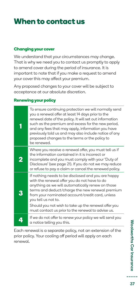## **When to contact us**

### **Changing your cover**

We understand that your circumstances may change. That is why we need you to contact us promptly to apply to amend cover during the period of insurance. It is important to note that if you make a request to amend your cover this may affect your premium.

Any proposed changes to your cover will be subject to acceptance at our absolute discretion.

### **Renewing your policy**

|   | To ensure continuing protection we will normally send<br>you a renewal offer at least 14 days prior to the<br>renewal date of the policy. It will set out information<br>such as the premium and excess for the new period,<br>and any fees that may apply, information you have<br>previously told us and may also include notice of any<br>proposed changes to the terms or the policy to<br>be renewed. |
|---|------------------------------------------------------------------------------------------------------------------------------------------------------------------------------------------------------------------------------------------------------------------------------------------------------------------------------------------------------------------------------------------------------------|
| 2 | Where you receive a renewal offer, you must tell us if<br>the information contained in it is incorrect or<br>incomplete and you must comply with your 'Duty of<br>Disclosure' (see page 21). If you do not we may reduce<br>or refuse to pay a claim or cancel the renewed policy.                                                                                                                         |
| 3 | If nothing needs to be disclosed and you are happy<br>with the renewal offer you do not have to do<br>anything as we will automatically renew on those<br>terms and deduct/charge the new renewal premium<br>from your nominated account/credit card, unless<br>you tell us not to.<br>Should you not wish to take up the renewal offer you<br>must contact us prior to the renewal to advise us.          |
| 4 | If we do not offer to renew your policy we will send you<br>a notice telling you this.                                                                                                                                                                                                                                                                                                                     |

Each renewal is a separate policy, not an extension of the prior policy. Your cooling off period will apply on each renewal.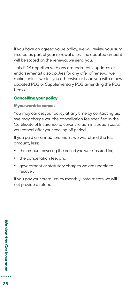If you have an agreed value policy, we will review your sum insured as part of your renewal offer. The updated amount will be stated on the renewal we send you.

This PDS (together with any amendments, updates or endorsements) also applies for any offer of renewal we make, unless we tell you otherwise or issue you with a new updated PDS or Supplementary PDS amending the PDS terms.

### **Cancelling your policy**

**If you want to cancel**

You may cancel your policy at any time by contacting us. We may charge you the cancellation fee specified in the Certificate of Insurance to cover the administration costs if you cancel after your cooling off period.

If you paid an annual premium, we will refund the full amount, less:

- the amount covering the period you were insured for;
- the cancellation fee; and
- government or statutory charges we are unable to recover.

If you pay your premium by monthly instalments we will not provide a refund.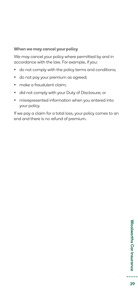### **When we may cancel your policy**

We may cancel your policy where permitted by and in accordance with the law. For example, if you:

- do not comply with the policy terms and conditions;
- do not pay your premium as agreed;
- make a fraudulent claim:
- did not comply with your Duty of Disclosure; or
- misrepresented information when you entered into your policy.

If we pay a claim for a total loss, your policy comes to an end and there is no refund of premium.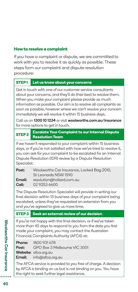### **How to resolve a complaint**

If you have a complaint or dispute, we are committed to work with you to resolve it as quickly as possible. These steps form our complaint and dispute resolution procedure:

### **STEP 1 Let us know about your concerns**

Get in touch with one of our customer service consultants about your concerns, and they'll do their best to resolve them. When you make your complaint please provide as much information as possible. Our aim is to resolve all complaints as soon as possible, however where we can't resolve your concern immediately we will resolve it within 15 business days.

Call us on 1300 10 1234 or visit woolworths.com.au/insurance for more options to get in touch.

**STEP 2 Escalate Your Complaint to our Internal Dispute Resolution Team**

If we haven't responded to your complaint within 15 business days, or if you're not satisfied with how we've tried to resolve it, you can ask for your complaint to be escalated for an Internal Dispute Resolution (IDR) review by a Dispute Resolution Specialist.

| Post:  | Woolworths Car Insurance, Locked Bag 2010, |
|--------|--------------------------------------------|
|        | St Leonards NSW 1590                       |
| Email: | resolution@hollard.com.au                  |
| Call:  | 02 9253 6600                               |

The Dispute Resolution Specialist will provide in writing our final decision within 15 business days of your complaint being escalated, unless they've requested an extension from you and you've agreed to give us more time.

### **STEP 3 Seek an external review of our decision**

If you're not happy with the final decision, or if we've taken more than 45 days to respond to you from the date you first made your complaint, you may contact the Australian Financial Complaints Authority (AFCA) at:

| Phone: | 1800 931 678                              |
|--------|-------------------------------------------|
|        | <b>Post:</b> GPO Box 3 Melbourne VIC 3001 |
|        | Website: afca.org.au                      |
|        | <b>Email:</b> info@afca.org.au            |
|        |                                           |

The AFCA service is provided to you free of charge. A decision by AFCA is binding on us but is not binding on you. You have the right to seek further legal assistance.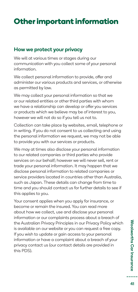## **Other important information**

### How we protect your privacy

We will at various times or stages during our communication with you collect some of your personal information.

We collect personal information to provide, offer and administer our various products and services, or otherwise as permitted by law.

We may collect your personal information so that we or our related entities or other third parties with whom we have a relationship can develop or offer you services or products which we believe may be of interest to you, however we will not do so if you tell us not to.

Collection can take place by websites, email, telephone or in writing. If you do not consent to us collecting and using the personal information we request, we may not be able to provide you with our services or products.

We may at times also disclose your personal information to our related companies or third parties who provide services on our behalf; however we will never sell, rent or trade your personal information. It may happen that we disclose personal information to related companies or service providers located in countries other than Australia, such as Japan. These details can change from time to time and you should contact us for further details to see if this applies to you.

Your consent applies when you apply for insurance, or become or remain the insured. You can read more about how we collect, use and disclose your personal information or our complaints process about a breach of the Australian Privacy Principles in our Privacy Policy which is available on our website or you can request a free copy. If you wish to update or gain access to your personal information or have a complaint about a breach of your privacy contact us (our contact details are provided in this PDS).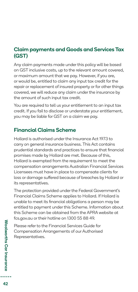### Claim payments and Goods and Services Tax (GST)

Any claim payments made under this policy will be based on GST inclusive costs, up to the relevant amount covered, or maximum amount that we pay. However, if you are, or would be, entitled to claim any input tax credit for the repair or replacement of insured property or for other things covered, we will reduce any claim under the insurance by the amount of such input tax credit.

You are required to tell us your entitlement to an input tax credit. If you fail to disclose or understate your entitlement, you may be liable for GST on a claim we pay.

### Financial Claims Scheme

Hollard is authorised under the Insurance Act 1973 to carry on general insurance business. This Act contains prudential standards and practices to ensure that financial promises made by Hollard are met. Because of this, Hollard is exempted from the requirement to meet the compensation arrangements Australian Financial Services Licensees must have in place to compensate clients for loss or damage suffered because of breaches by Hollard or its representatives.

The protection provided under the Federal Government's Financial Claims Scheme applies to Hollard. If Hollard is unable to meet its financial obligations a person may be entitled to payment under this Scheme. Information about this Scheme can be obtained from the APRA website at fcs.gov.au or their hotline on 1300 55 88 49.

Please refer to the Financial Services Guide for Compensation Arrangements of our Authorised Representatives.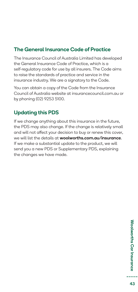### The General Insurance Code of Practice

The Insurance Council of Australia Limited has developed the General Insurance Code of Practice, which is a self-regulatory code for use by all insurers. The Code aims to raise the standards of practice and service in the insurance industry. We are a signatory to the Code.

You can obtain a copy of the Code from the Insurance Council of Australia website at insurancecouncil.com.au or by phoning (02) 9253 5100.

### Updating this PDS

If we change anything about this insurance in the future, the PDS may also change. If the change is relatively small and will not affect your decision to buy or renew this cover, we will list the details at **woolworths.com.au/insurance**. If we make a substantial update to the product, we will send you a new PDS or Supplementary PDS, explaining the changes we have made.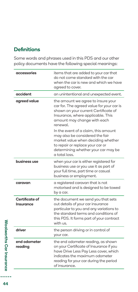### **Definitions**

Some words and phrases used in this PDS and our other policy documents have the following special meanings:

| accessories                 | items that are added to your car that<br>do not come standard with the car<br>when the car is new and which we have<br>agreed to cover.                                                                             |
|-----------------------------|---------------------------------------------------------------------------------------------------------------------------------------------------------------------------------------------------------------------|
| accident                    | an unintentional and unexpected event.                                                                                                                                                                              |
| agreed value                | the amount we agree to insure your<br>car for. The agreed value for your car is<br>shown on your current Certificate of<br>Insurance, where applicable. This<br>amount may change with each<br>renewal.             |
|                             | In the event of a claim, this amount<br>may also be considered the fair<br>market value when deciding whether<br>to repair or replace your car or<br>determining whether your car may be<br>a total loss.           |
| business use                | when your car is either registered for<br>business use or you use it as part of<br>your full time, part time or casual<br>business or employment.                                                                   |
| caravan                     | a registered caravan that is not<br>motorised and is designed to be towed<br>by a car.                                                                                                                              |
| Certificate of<br>Insurance | the document we send you that sets<br>out details of your car insurance<br>particular to you and any variations to<br>the standard terms and conditions of<br>this PDS. It forms part of your contract<br>with us.  |
| driver                      | the person driving or in control of<br>your car.                                                                                                                                                                    |
| end odometer<br>reading     | the end odometer reading, as shown<br>on your Certificate of Insurance if you<br>have Drive Less Pay Less cover, which<br>indicates the maximum odometer<br>reading for your car during the period<br>of insurance. |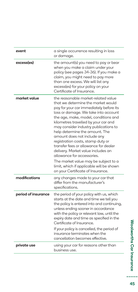| event               | a single occurrence resulting in loss<br>or damage.                                                                                                                                                                                                                                                                                                                                                                                                                                                      |
|---------------------|----------------------------------------------------------------------------------------------------------------------------------------------------------------------------------------------------------------------------------------------------------------------------------------------------------------------------------------------------------------------------------------------------------------------------------------------------------------------------------------------------------|
| excess(es)          | the amount(s) you need to pay or bear<br>when you make a claim under your<br>policy (see pages 34-36). If you make a<br>claim, you might need to pay more<br>than one excess. We will list any<br>excess(es) for your policy on your<br>Certificate of Insurance.                                                                                                                                                                                                                                        |
| market value        | the reasonable market-related value<br>that we determine the market would<br>pay for your car immediately before its<br>loss or damage. We take into account<br>the age, make, model, conditions and<br>kilometres travelled by your car and<br>may consider industry publications to<br>help determine the amount. The<br>amount does not include any<br>registration costs, stamp duty or<br>transfer fees or allowance for dealer<br>delivery. Market value includes an<br>allowance for accessories. |
|                     | The market value may be subject to a<br>limit, which if applicable will be shown<br>on your Certificate of Insurance.                                                                                                                                                                                                                                                                                                                                                                                    |
| modifications       | any changes made to your car that<br>differ from the manufacturer's<br>specifications.                                                                                                                                                                                                                                                                                                                                                                                                                   |
| period of insurance | the period of your policy with us, which<br>starts at the date and time we tell you<br>the policy is entered into and continuing,<br>unless ending sooner in accordance<br>with the policy or relevant law, until the<br>expiry date and time as specified in the<br>Certificate of Insurance.                                                                                                                                                                                                           |
|                     | If your policy is cancelled, the period of<br>insurance terminates when the<br>cancellation becomes effective.                                                                                                                                                                                                                                                                                                                                                                                           |
| private use         | using your car for reasons other than<br>business use.                                                                                                                                                                                                                                                                                                                                                                                                                                                   |

Woolworths Car Insurance Woolworths Car Insurance<br>
Separations

..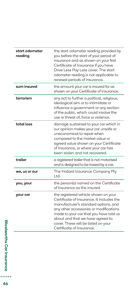| start odometer<br>readina | the start odometer reading provided by<br>you before the start of your period of<br>insurance and as shown on your first<br>Certificate of Insurance if you have<br>Drive Less Pay Less cover. The start<br>odometer reading is not applicable to<br>renewal periods of insurance.                                    |
|---------------------------|-----------------------------------------------------------------------------------------------------------------------------------------------------------------------------------------------------------------------------------------------------------------------------------------------------------------------|
| sum insured               | the amount your car is insured for as<br>shown on your Certificate of Insurance.                                                                                                                                                                                                                                      |
| terrorism                 | any act to further a political, religious,<br>ideological aim or to intimidate or<br>influence a government or any section<br>of the public, which could involve the<br>use or threat of, force or violence.                                                                                                          |
| total loss                | damage sustained to your car which in<br>our opinion makes your car unsafe or<br>uneconomical to repair when<br>compared to the market value or<br>agreed value shown on your Certificate<br>of Insurance, or where your car has<br>been stolen and not recovered.                                                    |
| trailer                   | a registered trailer that is not motorised<br>and is designed to be towed by a car.                                                                                                                                                                                                                                   |
| we, us or our             | The Hollard Insurance Company Pty<br>Ltd.                                                                                                                                                                                                                                                                             |
| you, your                 | the person(s) named on the Certificate<br>of Insurance as the insured.                                                                                                                                                                                                                                                |
| your car                  | the registered vehicle shown on your<br>Certificate of Insurance. It includes the<br>manufacturer's standard options, and<br>any other accessories or modifications<br>made to your car that you have told us<br>about and that we have agreed to<br>cover. These will be listed on your<br>Certificate of Insurance. |

..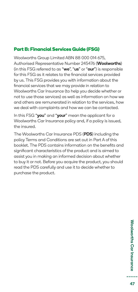### **Part B: Financial Services Guide (FSG)**

Woolworths Group Limited ABN 88 000 014 675, Authorised Representative Number 245476 (Woolworths) (in this FSG referred to as "we", "us" or "our") is responsible for this FSG as it relates to the financial services provided by us. This FSG provides you with information about the financial services that we may provide in relation to Woolworths Car Insurance (to help you decide whether or not to use those services) as well as information on how we and others are remunerated in relation to the services, how we deal with complaints and how we can be contacted.

In this FSG "you" and "your" mean the applicant for a Woolworths Car Insurance policy and, if a policy is issued, the insured.

The Woolworths Car Insurance PDS (PDS) including the policy Terms and Conditions are set out in Part A of this booklet. The PDS contains information on the benefits and significant characteristics of the product and is aimed to assist you in making an informed decision about whether to buy it or not. Before you acquire the product, you should read the PDS carefully and use it to decide whether to purchase the product.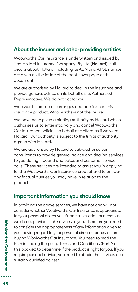### About the insurer and other providing entities

Woolworths Car Insurance is underwritten and issued by The Hollard Insurance Company Pty Ltd (Hollard). Full details about Hollard, including its ABN and AFSL number, are given on the inside of the front cover page of this document.

We are authorised by Hollard to deal in the insurance and provide general advice on its behalf as its Authorised Representative. We do not act for you.

Woolworths promotes, arranges and administers this insurance product. Woolworths is not the insurer.

We have been given a binding authority by Hollard which authorises us to enter into, vary and cancel Woolworths Car Insurance policies on behalf of Hollard as if we were Hollard. Our authority is subject to the limits of authority agreed with Hollard.

We are authorised by Hollard to sub-authorise our consultants to provide general advice and dealing services to you during inbound and outbound customer service calls. These services are intended to assist you in applying for the Woolworths Car Insurance product and to answer any factual queries you may have in relation to the product.

### Important information you should know

In providing the above services, we have not and will not consider whether Woolworths Car Insurance is appropriate for your personal objectives, financial situation or needs as we do not provide such services to you. Therefore you need to consider the appropriateness of any information given to you, having regard to your personal circumstances before buying Woolworths Car Insurance. You need to read the PDS including the policy Terms and Conditions (Part A of this booklet) to determine if the product is right for you. If you require personal advice, you need to obtain the services of a suitably qualified adviser.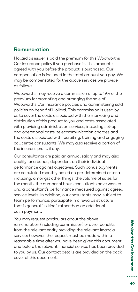### Remuneration

Hollard as issuer is paid the premium for this Woolworths Car Insurance policy if you purchase it. This amount is agreed with you before the product is purchased. Our compensation is included in the total amount you pay. We may be compensated for the above services we provide as follows.

Woolworths may receive a commission of up to 19% of the premium for promoting and arranging the sale of Woolworths Car Insurance policies and administering sold policies on behalf of Hollard. This commission is used by us to cover the costs associated with the marketing and distribution of this product to you and costs associated with providing administration services, including set-up and operational costs, telecommunication charges and the costs associated with recruiting, training and engaging call centre consultants. We may also receive a portion of the insurer's profit, if any.

Our consultants are paid an annual salary and may also qualify for a bonus, dependent on their individual performance against objectives. Such bonus payments are calculated monthly based on pre-determined criteria including, amongst other things, the volume of sales for the month, the number of hours consultants have worked and a consultant's performance measured against agreed service levels. In addition, our consultants may, subject to team performance, participate in a rewards structure that is general "in kind" rather than an additional cash payment.

You may request particulars about the above remuneration (including commission) or other benefits from the relevant entity providing the relevant financial service; however, the request must be made within a reasonable time after you have been given this document and before the relevant financial service has been provided to you by us. Our contact details are provided on the back cover of this document.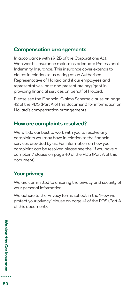### Compensation arrangements

In accordance with s912B of the Corporations Act, Woolworths Insurance maintains adequate Professional Indemnity Insurance. This insurance cover extends to claims in relation to us acting as an Authorised Representative of Hollard and if our employees and representatives, past and present are negligent in providing financial services on behalf of Hollard.

Please see the Financial Claims Scheme clause on page 42 of the PDS (Part A of this document) for information on Hollard's compensation arrangements.

### How are complaints resolved?

We will do our best to work with you to resolve any complaints you may have in relation to the financial services provided by us. For information on how your complaint can be resolved please see the 'If you have a complaint' clause on page 40 of the PDS (Part A of this document).

### Your privacy

We are committed to ensuring the privacy and security of your personal information.

We adhere to the Privacy terms set out in the 'How we protect your privacy' clause on page 41 of the PDS (Part A of this document).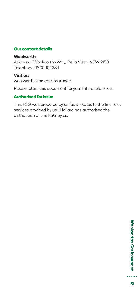### **Our contact details**

### **Woolworths**

Address: 1 Woolworths Way, Bella Vista, NSW 2153 Telephone: 1300 10 1234

### Visit us:

woolworths.com.au/insurance

Please retain this document for your future reference.

### **Authorised for issue**

This FSG was prepared by us (as it relates to the financial services provided by us). Hollard has authorised the distribution of this FSG by us.